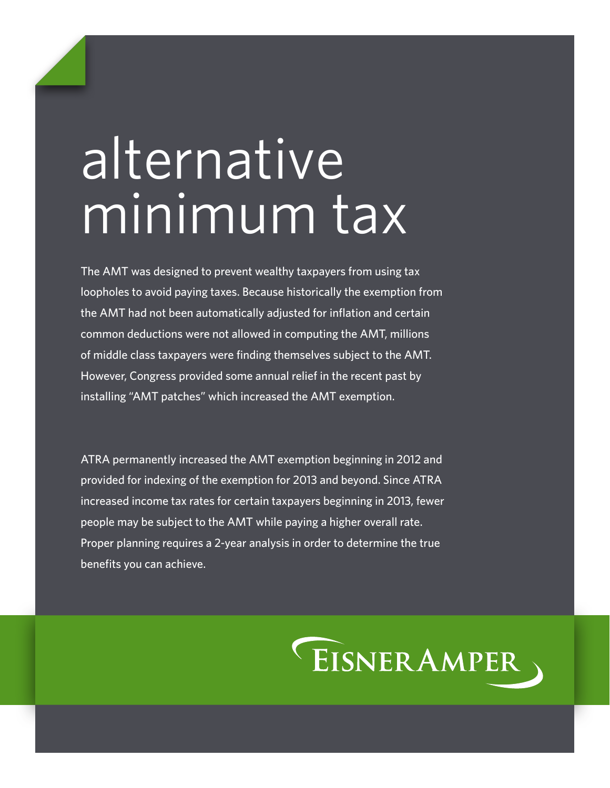# alternative minimum tax

The AMT was designed to prevent wealthy taxpayers from using tax loopholes to avoid paying taxes. Because historically the exemption from the AMT had not been automatically adjusted for inflation and certain common deductions were not allowed in computing the AMT, millions of middle class taxpayers were finding themselves subject to the AMT. However, Congress provided some annual relief in the recent past by installing "AMT patches" which increased the AMT exemption.

ATRA permanently increased the AMT exemption beginning in 2012 and provided for indexing of the exemption for 2013 and beyond. Since ATRA increased income tax rates for certain taxpayers beginning in 2013, fewer people may be subject to the AMT while paying a higher overall rate. Proper planning requires a 2-year analysis in order to determine the true benefits you can achieve.

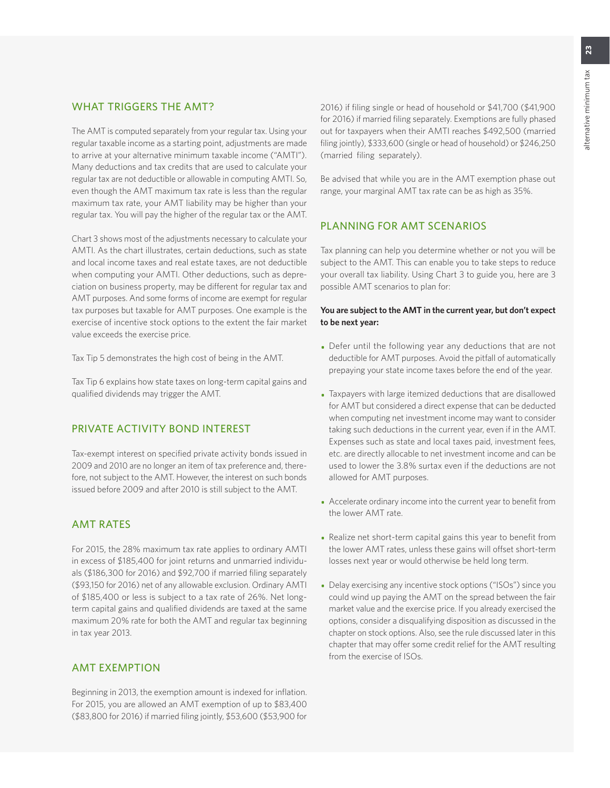### WHAT TRIGGERS THE AMT?

The AMT is computed separately from your regular tax. Using your regular taxable income as a starting point, adjustments are made to arrive at your alternative minimum taxable income ("AMTI"). Many deductions and tax credits that are used to calculate your regular tax are not deductible or allowable in computing AMTI. So, even though the AMT maximum tax rate is less than the regular maximum tax rate, your AMT liability may be higher than your regular tax. You will pay the higher of the regular tax or the AMT.

Chart 3 shows most of the adjustments necessary to calculate your AMTI. As the chart illustrates, certain deductions, such as state and local income taxes and real estate taxes, are not deductible when computing your AMTI. Other deductions, such as depreciation on business property, may be different for regular tax and AMT purposes. And some forms of income are exempt for regular tax purposes but taxable for AMT purposes. One example is the exercise of incentive stock options to the extent the fair market value exceeds the exercise price.

Tax Tip 5 demonstrates the high cost of being in the AMT.

Tax Tip 6 explains how state taxes on long-term capital gains and qualified dividends may trigger the AMT.

### PRIVATE ACTIVITY BOND INTEREST

Tax-exempt interest on specified private activity bonds issued in 2009 and 2010 are no longer an item of tax preference and, therefore, not subject to the AMT. However, the interest on such bonds issued before 2009 and after 2010 is still subject to the AMT.

### AMT RATES

For 2015, the 28% maximum tax rate applies to ordinary AMTI in excess of \$185,400 for joint returns and unmarried individuals (\$186,300 for 2016) and \$92,700 if married filing separately (\$93,150 for 2016) net of any allowable exclusion. Ordinary AMTI of \$185,400 or less is subject to a tax rate of 26%. Net longterm capital gains and qualified dividends are taxed at the same maximum 20% rate for both the AMT and regular tax beginning in tax year 2013.

### AMT EXEMPTION

Beginning in 2013, the exemption amount is indexed for inflation. For 2015, you are allowed an AMT exemption of up to \$83,400 (\$83,800 for 2016) if married filing jointly, \$53,600 (\$53,900 for

2016) if filing single or head of household or \$41,700 (\$41,900 for 2016) if married filing separately. Exemptions are fully phased out for taxpayers when their AMTI reaches \$492,500 (married filing jointly), \$333,600 (single or head of household) or \$246,250 (married filing separately).

Be advised that while you are in the AMT exemption phase out range, your marginal AMT tax rate can be as high as 35%.

### PLANNING FOR AMT SCENARIOS

Tax planning can help you determine whether or not you will be subject to the AMT. This can enable you to take steps to reduce your overall tax liability. Using Chart 3 to guide you, here are 3 possible AMT scenarios to plan for:

### **You are subject to the AMT in the current year, but don't expect to be next year:**

- Defer until the following year any deductions that are not deductible for AMT purposes. Avoid the pitfall of automatically prepaying your state income taxes before the end of the year.
- Taxpayers with large itemized deductions that are disallowed for AMT but considered a direct expense that can be deducted when computing net investment income may want to consider taking such deductions in the current year, even if in the AMT. Expenses such as state and local taxes paid, investment fees, etc. are directly allocable to net investment income and can be used to lower the 3.8% surtax even if the deductions are not allowed for AMT purposes.
- Accelerate ordinary income into the current year to benefit from the lower AMT rate.
- Realize net short-term capital gains this year to benefit from the lower AMT rates, unless these gains will offset short-term losses next year or would otherwise be held long term.
- Delay exercising any incentive stock options ("ISOs") since you could wind up paying the AMT on the spread between the fair market value and the exercise price. If you already exercised the options, consider a disqualifying disposition as discussed in the chapter on stock options. Also, see the rule discussed later in this chapter that may offer some credit relief for the AMT resulting from the exercise of ISOs.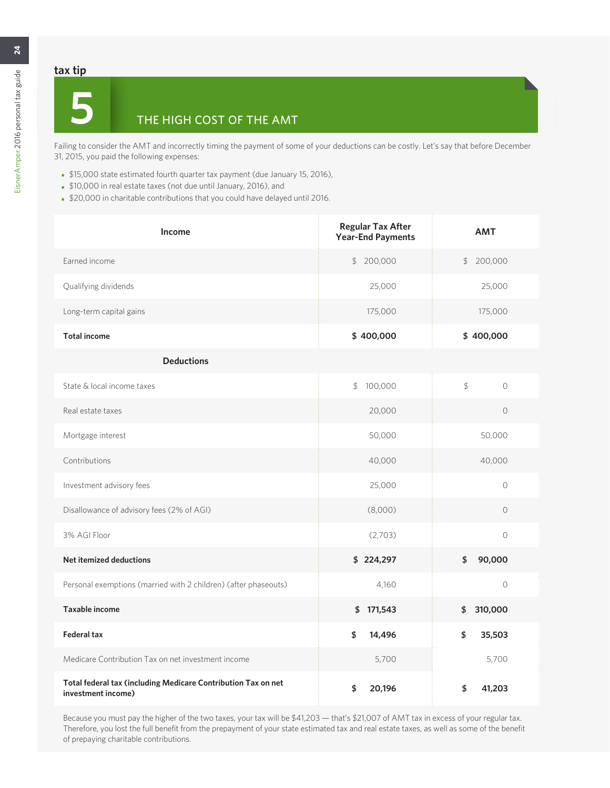### **tax tip**

# **5** THE HIGH COST OF THE AMT

Failing to consider the AMT and incorrectly timing the payment of some of your deductions can be costly. Let's say that before December 31, 2015, you paid the following expenses:

- \$15,000 state estimated fourth quarter tax payment (due January 15, 2016),
- \$10,000 in real estate taxes (not due until January, 2016), and
- \$20,000 in charitable contributions that you could have delayed until 2016.

| Income                                                                              | <b>Regular Tax After</b><br><b>Year-End Payments</b> | <b>AMT</b>    |  |  |
|-------------------------------------------------------------------------------------|------------------------------------------------------|---------------|--|--|
| Earned income                                                                       | \$200,000                                            | \$200,000     |  |  |
| Qualifying dividends                                                                | 25,000                                               | 25,000        |  |  |
| Long-term capital gains                                                             | 175,000                                              | 175,000       |  |  |
| <b>Total income</b>                                                                 | \$400,000                                            | \$400,000     |  |  |
| <b>Deductions</b>                                                                   |                                                      |               |  |  |
| State & local income taxes                                                          | \$<br>100,000                                        | \$<br>$\circ$ |  |  |
| Real estate taxes                                                                   | 20,000                                               | $\circ$       |  |  |
| Mortgage interest                                                                   | 50,000                                               | 50,000        |  |  |
| Contributions                                                                       | 40,000                                               | 40,000        |  |  |
| Investment advisory fees                                                            | 25,000                                               | $\Omega$      |  |  |
| Disallowance of advisory fees (2% of AGI)                                           | (8,000)                                              | $\circ$       |  |  |
| 3% AGI Floor                                                                        | (2,703)                                              | $\circ$       |  |  |
| <b>Net itemized deductions</b>                                                      | \$224,297                                            | \$<br>90,000  |  |  |
| Personal exemptions (married with 2 children) (after phaseouts)                     | 4,160                                                | $\circ$       |  |  |
| <b>Taxable income</b>                                                               | \$171,543                                            | \$310,000     |  |  |
| <b>Federal tax</b>                                                                  | \$<br>14,496                                         | \$<br>35,503  |  |  |
| Medicare Contribution Tax on net investment income                                  | 5,700                                                | 5,700         |  |  |
| Total federal tax (including Medicare Contribution Tax on net<br>investment income) | \$<br>20,196                                         | \$<br>41,203  |  |  |

Because you must pay the higher of the two taxes, your tax will be \$41,203 — that's \$21,007 of AMT tax in excess of your regular tax. Therefore, you lost the full benefit from the prepayment of your state estimated tax and real estate taxes, as well as some of the benefit of prepaying charitable contributions.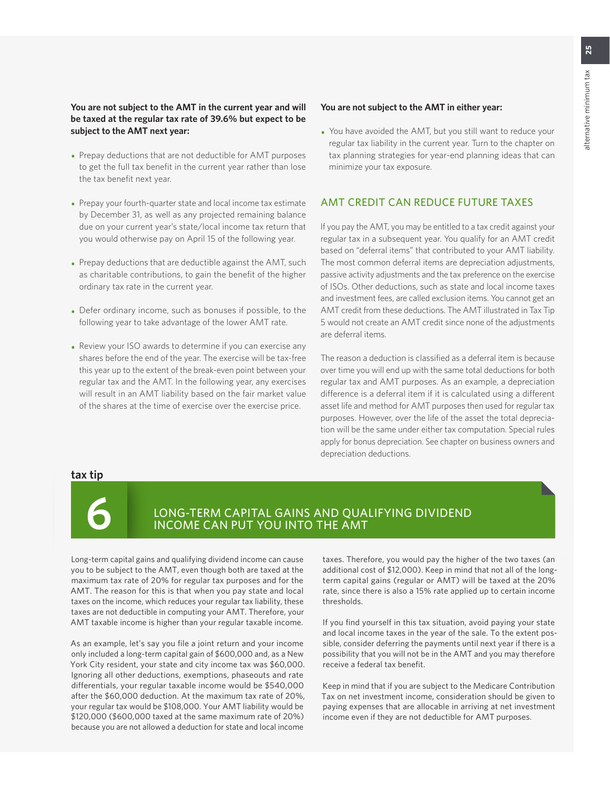### **You are not subject to the AMT in the current year and will be taxed at the regular tax rate of 39.6% but expect to be subject to the AMT next year:**

- Prepay deductions that are not deductible for AMT purposes to get the full tax benefit in the current year rather than lose the tax benefit next year.
- Prepay your fourth-quarter state and local income tax estimate by December 31, as well as any projected remaining balance due on your current year's state/local income tax return that you would otherwise pay on April 15 of the following year.
- Prepay deductions that are deductible against the AMT, such as charitable contributions, to gain the benefit of the higher ordinary tax rate in the current year.
- Defer ordinary income, such as bonuses if possible, to the following year to take advantage of the lower AMT rate.
- Review your ISO awards to determine if you can exercise any shares before the end of the year. The exercise will be tax-free this year up to the extent of the break-even point between your regular tax and the AMT. In the following year, any exercises will result in an AMT liability based on the fair market value of the shares at the time of exercise over the exercise price.

#### **You are not subject to the AMT in either year:**

• You have avoided the AMT, but you still want to reduce your regular tax liability in the current year. Turn to the chapter on tax planning strategies for year-end planning ideas that can minimize your tax exposure.

### AMT CREDIT CAN REDUCE FUTURE TAXES

If you pay the AMT, you may be entitled to a tax credit against your regular tax in a subsequent year. You qualify for an AMT credit based on "deferral items" that contributed to your AMT liability. The most common deferral items are depreciation adjustments, passive activity adjustments and the tax preference on the exercise of ISOs. Other deductions, such as state and local income taxes and investment fees, are called exclusion items. You cannot get an AMT credit from these deductions. The AMT illustrated in Tax Tip 5 would not create an AMT credit since none of the adjustments are deferral items.

The reason a deduction is classified as a deferral item is because over time you will end up with the same total deductions for both regular tax and AMT purposes. As an example, a depreciation difference is a deferral item if it is calculated using a different asset life and method for AMT purposes then used for regular tax purposes. However, over the life of the asset the total depreciation will be the same under either tax computation. Special rules apply for bonus depreciation. See chapter on business owners and depreciation deductions.

### **tax tip**



### **6** LONG-TERM CAPITAL GAINS AND QUALIFYING DIVIDEND INCOME CAN PUT YOU INTO THE AMT

Long-term capital gains and qualifying dividend income can cause you to be subject to the AMT, even though both are taxed at the maximum tax rate of 20% for regular tax purposes and for the AMT. The reason for this is that when you pay state and local taxes on the income, which reduces your regular tax liability, these taxes are not deductible in computing your AMT. Therefore, your AMT taxable income is higher than your regular taxable income.

As an example, let's say you file a joint return and your income only included a long-term capital gain of \$600,000 and, as a New York City resident, your state and city income tax was \$60,000. Ignoring all other deductions, exemptions, phaseouts and rate differentials, your regular taxable income would be \$540,000 after the \$60,000 deduction. At the maximum tax rate of 20%, your regular tax would be \$108,000. Your AMT liability would be \$120,000 (\$600,000 taxed at the same maximum rate of 20%) because you are not allowed a deduction for state and local income

taxes. Therefore, you would pay the higher of the two taxes (an additional cost of \$12,000). Keep in mind that not all of the longterm capital gains (regular or AMT) will be taxed at the 20% rate, since there is also a 15% rate applied up to certain income thresholds.

If you find yourself in this tax situation, avoid paying your state and local income taxes in the year of the sale. To the extent possible, consider deferring the payments until next year if there is a possibility that you will not be in the AMT and you may therefore receive a federal tax benefit.

Keep in mind that if you are subject to the Medicare Contribution Tax on net investment income, consideration should be given to paying expenses that are allocable in arriving at net investment income even if they are not deductible for AMT purposes.